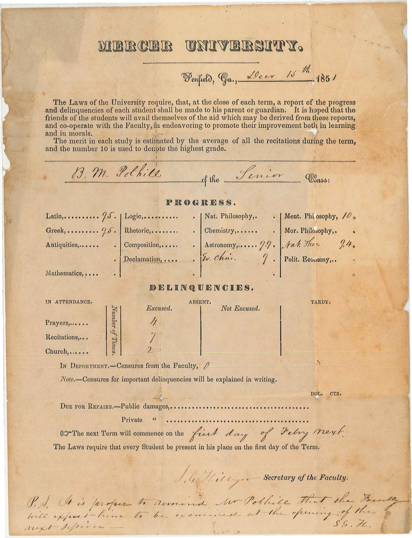## UNIVERSITY. MIRIR CIRIR

Penfield, Ga., Deer 15th 1851

The Laws of the University require, that, at the close of each term, a report of the progress and delinquencies of each student shall be made to his parent or guardian. It is hoped that the friends of the students will avail themselves of the aid which may be derived from these reports, and co-operate with the Faculty, in endeavoring to promote their improvement both in learning and in morals.

The merit in each study is estimated by the average of all the recitations during the term, and the number 10 is used to denote the highest grade.

B. M. Polkile of the Senior Class: PROGRESS. Mathematics, .... DELINQUENCIES. IN ATTENDANCE. ABSENT. TARDY. Excused. Not Excused. Number of Times Prayers,..... Recitations,... Church,..... IN DEPORTMENT.-Censures from the Faculty, Note.-Censures for important delinquencies will be explained in writing. DOL. CTS. Private  $\mathfrak{c}\mathfrak{c}$ OF The next Term will commence on the first day of Febry Next. The Laws require that every Student be present in his place on the first day of the Term. J. G. Hillyer Secretary of the Faculty. P. S. It is proper to armind we Pollice That the Faculty

next silvio